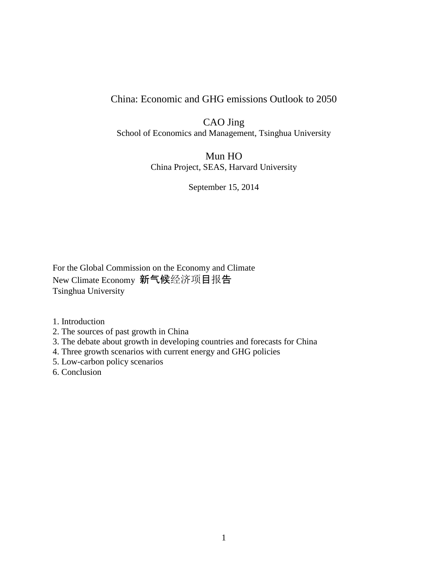## China: Economic and GHG emissions Outlook to 2050

CAO Jing School of Economics and Management, Tsinghua University

> Mun HO China Project, SEAS, Harvard University

> > September 15, 2014

For the Global Commission on the Economy and Climate New Climate Economy 新气候经济项目报告 Tsinghua University

1. Introduction

2. The sources of past growth in China

3. The debate about growth in developing countries and forecasts for China

4. Three growth scenarios with current energy and GHG policies

5. Low-carbon policy scenarios

6. Conclusion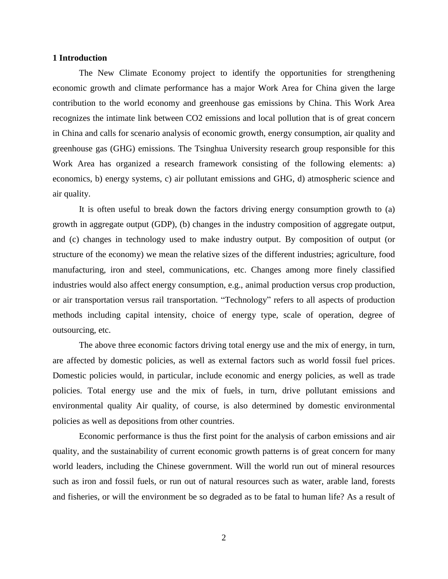#### **1 Introduction**

The New Climate Economy project to identify the opportunities for strengthening economic growth and climate performance has a major Work Area for China given the large contribution to the world economy and greenhouse gas emissions by China. This Work Area recognizes the intimate link between CO2 emissions and local pollution that is of great concern in China and calls for scenario analysis of economic growth, energy consumption, air quality and greenhouse gas (GHG) emissions. The Tsinghua University research group responsible for this Work Area has organized a research framework consisting of the following elements: a) economics, b) energy systems, c) air pollutant emissions and GHG, d) atmospheric science and air quality.

It is often useful to break down the factors driving energy consumption growth to (a) growth in aggregate output (GDP), (b) changes in the industry composition of aggregate output, and (c) changes in technology used to make industry output. By composition of output (or structure of the economy) we mean the relative sizes of the different industries; agriculture, food manufacturing, iron and steel, communications, etc. Changes among more finely classified industries would also affect energy consumption, e.g., animal production versus crop production, or air transportation versus rail transportation. "Technology" refers to all aspects of production methods including capital intensity, choice of energy type, scale of operation, degree of outsourcing, etc.

The above three economic factors driving total energy use and the mix of energy, in turn, are affected by domestic policies, as well as external factors such as world fossil fuel prices. Domestic policies would, in particular, include economic and energy policies, as well as trade policies. Total energy use and the mix of fuels, in turn, drive pollutant emissions and environmental quality Air quality, of course, is also determined by domestic environmental policies as well as depositions from other countries.

Economic performance is thus the first point for the analysis of carbon emissions and air quality, and the sustainability of current economic growth patterns is of great concern for many world leaders, including the Chinese government. Will the world run out of mineral resources such as iron and fossil fuels, or run out of natural resources such as water, arable land, forests and fisheries, or will the environment be so degraded as to be fatal to human life? As a result of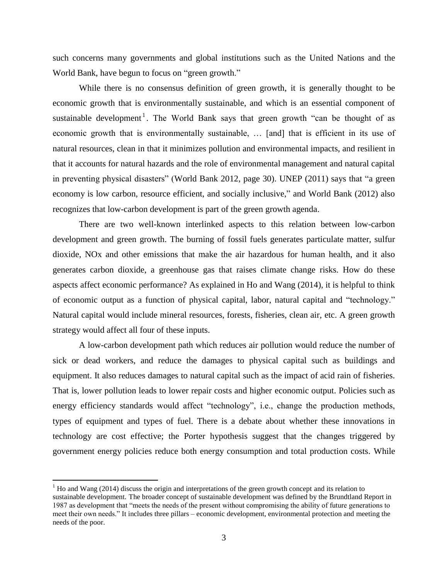such concerns many governments and global institutions such as the United Nations and the World Bank, have begun to focus on "green growth."

While there is no consensus definition of green growth, it is generally thought to be economic growth that is environmentally sustainable, and which is an essential component of sustainable development<sup>1</sup>. The World Bank says that green growth "can be thought of as economic growth that is environmentally sustainable, … [and] that is efficient in its use of natural resources, clean in that it minimizes pollution and environmental impacts, and resilient in that it accounts for natural hazards and the role of environmental management and natural capital in preventing physical disasters" (World Bank 2012, page 30). UNEP (2011) says that "a green economy is low carbon, resource efficient, and socially inclusive," and World Bank (2012) also recognizes that low-carbon development is part of the green growth agenda.

There are two well-known interlinked aspects to this relation between low-carbon development and green growth. The burning of fossil fuels generates particulate matter, sulfur dioxide, NOx and other emissions that make the air hazardous for human health, and it also generates carbon dioxide, a greenhouse gas that raises climate change risks. How do these aspects affect economic performance? As explained in Ho and Wang (2014), it is helpful to think of economic output as a function of physical capital, labor, natural capital and "technology." Natural capital would include mineral resources, forests, fisheries, clean air, etc. A green growth strategy would affect all four of these inputs.

A low-carbon development path which reduces air pollution would reduce the number of sick or dead workers, and reduce the damages to physical capital such as buildings and equipment. It also reduces damages to natural capital such as the impact of acid rain of fisheries. That is, lower pollution leads to lower repair costs and higher economic output. Policies such as energy efficiency standards would affect "technology", i.e., change the production methods, types of equipment and types of fuel. There is a debate about whether these innovations in technology are cost effective; the Porter hypothesis suggest that the changes triggered by government energy policies reduce both energy consumption and total production costs. While

 $1$  Ho and Wang (2014) discuss the origin and interpretations of the green growth concept and its relation to sustainable development. The broader concept of sustainable development was defined by the Brundtland Report in 1987 as development that "meets the needs of the present without compromising the ability of future generations to meet their own needs." It includes three pillars – economic development, environmental protection and meeting the needs of the poor.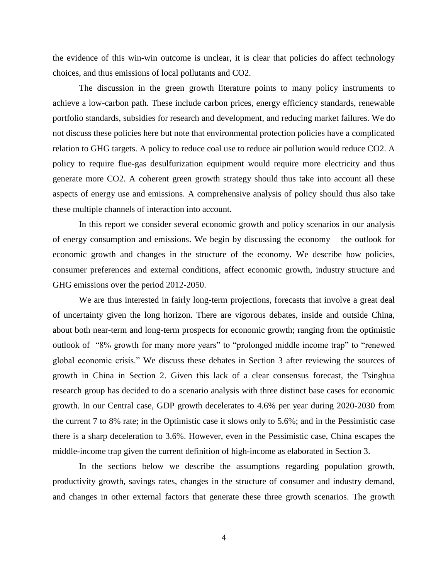the evidence of this win-win outcome is unclear, it is clear that policies do affect technology choices, and thus emissions of local pollutants and CO2.

The discussion in the green growth literature points to many policy instruments to achieve a low-carbon path. These include carbon prices, energy efficiency standards, renewable portfolio standards, subsidies for research and development, and reducing market failures. We do not discuss these policies here but note that environmental protection policies have a complicated relation to GHG targets. A policy to reduce coal use to reduce air pollution would reduce CO2. A policy to require flue-gas desulfurization equipment would require more electricity and thus generate more CO2. A coherent green growth strategy should thus take into account all these aspects of energy use and emissions. A comprehensive analysis of policy should thus also take these multiple channels of interaction into account.

In this report we consider several economic growth and policy scenarios in our analysis of energy consumption and emissions. We begin by discussing the economy – the outlook for economic growth and changes in the structure of the economy. We describe how policies, consumer preferences and external conditions, affect economic growth, industry structure and GHG emissions over the period 2012-2050.

We are thus interested in fairly long-term projections, forecasts that involve a great deal of uncertainty given the long horizon. There are vigorous debates, inside and outside China, about both near-term and long-term prospects for economic growth; ranging from the optimistic outlook of "8% growth for many more years" to "prolonged middle income trap" to "renewed global economic crisis." We discuss these debates in Section 3 after reviewing the sources of growth in China in Section 2. Given this lack of a clear consensus forecast, the Tsinghua research group has decided to do a scenario analysis with three distinct base cases for economic growth. In our Central case, GDP growth decelerates to 4.6% per year during 2020-2030 from the current 7 to 8% rate; in the Optimistic case it slows only to 5.6%; and in the Pessimistic case there is a sharp deceleration to 3.6%. However, even in the Pessimistic case, China escapes the middle-income trap given the current definition of high-income as elaborated in Section 3.

In the sections below we describe the assumptions regarding population growth, productivity growth, savings rates, changes in the structure of consumer and industry demand, and changes in other external factors that generate these three growth scenarios. The growth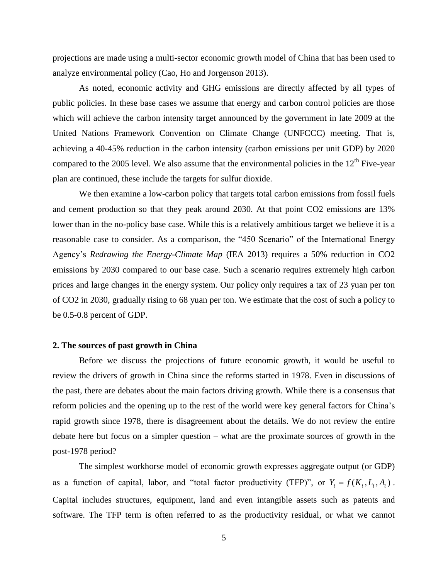projections are made using a multi-sector economic growth model of China that has been used to analyze environmental policy (Cao, Ho and Jorgenson 2013).

As noted, economic activity and GHG emissions are directly affected by all types of public policies. In these base cases we assume that energy and carbon control policies are those which will achieve the carbon intensity target announced by the government in late 2009 at the United Nations Framework Convention on Climate Change (UNFCCC) meeting. That is, achieving a 40-45% reduction in the carbon intensity (carbon emissions per unit GDP) by 2020 compared to the 2005 level. We also assume that the environmental policies in the  $12<sup>th</sup>$  Five-year plan are continued, these include the targets for sulfur dioxide.

We then examine a low-carbon policy that targets total carbon emissions from fossil fuels and cement production so that they peak around 2030. At that point CO2 emissions are 13% lower than in the no-policy base case. While this is a relatively ambitious target we believe it is a reasonable case to consider. As a comparison, the "450 Scenario" of the International Energy Agency's *Redrawing the Energy-Climate Map* (IEA 2013) requires a 50% reduction in CO2 emissions by 2030 compared to our base case. Such a scenario requires extremely high carbon prices and large changes in the energy system. Our policy only requires a tax of 23 yuan per ton of CO2 in 2030, gradually rising to 68 yuan per ton. We estimate that the cost of such a policy to be 0.5-0.8 percent of GDP.

### **2. The sources of past growth in China**

Before we discuss the projections of future economic growth, it would be useful to review the drivers of growth in China since the reforms started in 1978. Even in discussions of the past, there are debates about the main factors driving growth. While there is a consensus that reform policies and the opening up to the rest of the world were key general factors for China's rapid growth since 1978, there is disagreement about the details. We do not review the entire debate here but focus on a simpler question – what are the proximate sources of growth in the post-1978 period?

The simplest workhorse model of economic growth expresses aggregate output (or GDP) as a function of capital, labor, and "total factor productivity (TFP)", or  $Y_t = f(K_t, L_t, A_t)$ . Capital includes structures, equipment, land and even intangible assets such as patents and software. The TFP term is often referred to as the productivity residual, or what we cannot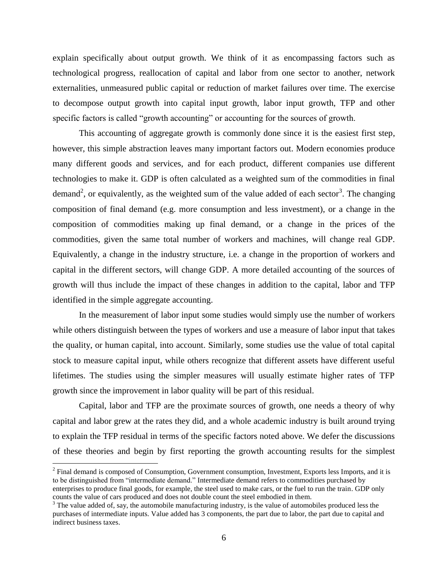explain specifically about output growth. We think of it as encompassing factors such as technological progress, reallocation of capital and labor from one sector to another, network externalities, unmeasured public capital or reduction of market failures over time. The exercise to decompose output growth into capital input growth, labor input growth, TFP and other specific factors is called "growth accounting" or accounting for the sources of growth.

This accounting of aggregate growth is commonly done since it is the easiest first step, however, this simple abstraction leaves many important factors out. Modern economies produce many different goods and services, and for each product, different companies use different technologies to make it. GDP is often calculated as a weighted sum of the commodities in final demand<sup>2</sup>, or equivalently, as the weighted sum of the value added of each sector<sup>3</sup>. The changing composition of final demand (e.g. more consumption and less investment), or a change in the composition of commodities making up final demand, or a change in the prices of the commodities, given the same total number of workers and machines, will change real GDP. Equivalently, a change in the industry structure, i.e. a change in the proportion of workers and capital in the different sectors, will change GDP. A more detailed accounting of the sources of growth will thus include the impact of these changes in addition to the capital, labor and TFP identified in the simple aggregate accounting.

In the measurement of labor input some studies would simply use the number of workers while others distinguish between the types of workers and use a measure of labor input that takes the quality, or human capital, into account. Similarly, some studies use the value of total capital stock to measure capital input, while others recognize that different assets have different useful lifetimes. The studies using the simpler measures will usually estimate higher rates of TFP growth since the improvement in labor quality will be part of this residual.

Capital, labor and TFP are the proximate sources of growth, one needs a theory of why capital and labor grew at the rates they did, and a whole academic industry is built around trying to explain the TFP residual in terms of the specific factors noted above. We defer the discussions of these theories and begin by first reporting the growth accounting results for the simplest

 $2^2$  Final demand is composed of Consumption, Government consumption, Investment, Exports less Imports, and it is to be distinguished from "intermediate demand." Intermediate demand refers to commodities purchased by enterprises to produce final goods, for example, the steel used to make cars, or the fuel to run the train. GDP only counts the value of cars produced and does not double count the steel embodied in them.

 $3$  The value added of, say, the automobile manufacturing industry, is the value of automobiles produced less the purchases of intermediate inputs. Value added has 3 components, the part due to labor, the part due to capital and indirect business taxes.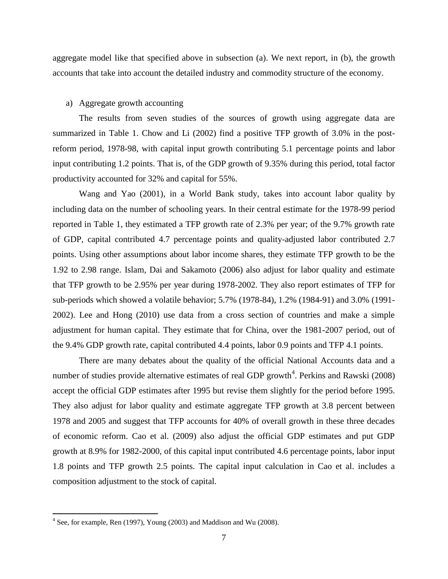aggregate model like that specified above in subsection (a). We next report, in (b), the growth accounts that take into account the detailed industry and commodity structure of the economy.

#### a) Aggregate growth accounting

The results from seven studies of the sources of growth using aggregate data are summarized in Table 1. Chow and Li (2002) find a positive TFP growth of 3.0% in the postreform period, 1978-98, with capital input growth contributing 5.1 percentage points and labor input contributing 1.2 points. That is, of the GDP growth of 9.35% during this period, total factor productivity accounted for 32% and capital for 55%.

Wang and Yao (2001), in a World Bank study, takes into account labor quality by including data on the number of schooling years. In their central estimate for the 1978-99 period reported in Table 1, they estimated a TFP growth rate of 2.3% per year; of the 9.7% growth rate of GDP, capital contributed 4.7 percentage points and quality-adjusted labor contributed 2.7 points. Using other assumptions about labor income shares, they estimate TFP growth to be the 1.92 to 2.98 range. Islam, Dai and Sakamoto (2006) also adjust for labor quality and estimate that TFP growth to be 2.95% per year during 1978-2002. They also report estimates of TFP for sub-periods which showed a volatile behavior; 5.7% (1978-84), 1.2% (1984-91) and 3.0% (1991- 2002). Lee and Hong (2010) use data from a cross section of countries and make a simple adjustment for human capital. They estimate that for China, over the 1981-2007 period, out of the 9.4% GDP growth rate, capital contributed 4.4 points, labor 0.9 points and TFP 4.1 points.

There are many debates about the quality of the official National Accounts data and a number of studies provide alternative estimates of real GDP growth<sup>4</sup>. Perkins and Rawski (2008) accept the official GDP estimates after 1995 but revise them slightly for the period before 1995. They also adjust for labor quality and estimate aggregate TFP growth at 3.8 percent between 1978 and 2005 and suggest that TFP accounts for 40% of overall growth in these three decades of economic reform. Cao et al. (2009) also adjust the official GDP estimates and put GDP growth at 8.9% for 1982-2000, of this capital input contributed 4.6 percentage points, labor input 1.8 points and TFP growth 2.5 points. The capital input calculation in Cao et al. includes a composition adjustment to the stock of capital.

 $4^4$  See, for example, Ren (1997), Young (2003) and Maddison and Wu (2008).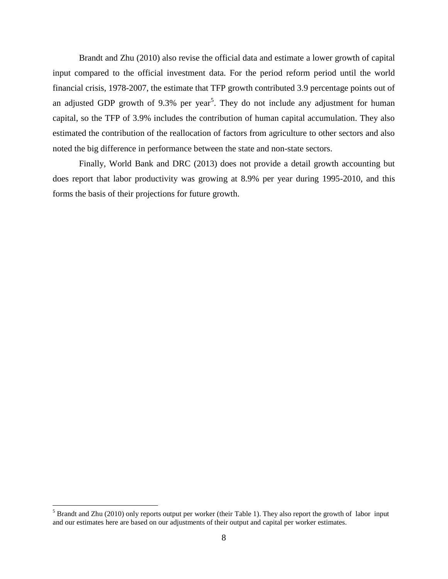Brandt and Zhu (2010) also revise the official data and estimate a lower growth of capital input compared to the official investment data. For the period reform period until the world financial crisis, 1978-2007, the estimate that TFP growth contributed 3.9 percentage points out of an adjusted GDP growth of 9.3% per year<sup>5</sup>. They do not include any adjustment for human capital, so the TFP of 3.9% includes the contribution of human capital accumulation. They also estimated the contribution of the reallocation of factors from agriculture to other sectors and also noted the big difference in performance between the state and non-state sectors.

Finally, World Bank and DRC (2013) does not provide a detail growth accounting but does report that labor productivity was growing at 8.9% per year during 1995-2010, and this forms the basis of their projections for future growth.

 $5$  Brandt and Zhu (2010) only reports output per worker (their Table 1). They also report the growth of labor input and our estimates here are based on our adjustments of their output and capital per worker estimates.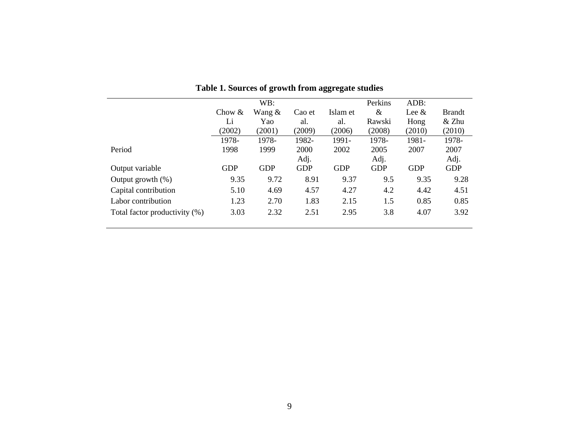|                               |            | WB:        |            |            | Perkins    | ADB:       |               |
|-------------------------------|------------|------------|------------|------------|------------|------------|---------------|
|                               | Chow $&$   | Wang $&$   | Cao et     | Islam et   | &          | Lee $\&$   | <b>Brandt</b> |
|                               | Li         | Yao        | al.        | al.        | Rawski     | Hong       | $&$ Zhu       |
|                               | (2002)     | (2001)     | (2009)     | (2006)     | (2008)     | (2010)     | (2010)        |
|                               | 1978-      | 1978-      | 1982-      | 1991-      | 1978-      | 1981-      | 1978-         |
| Period                        | 1998       | 1999       | 2000       | 2002       | 2005       | 2007       | 2007          |
|                               |            |            | Adj.       |            | Adj.       |            | Adj.          |
| Output variable               | <b>GDP</b> | <b>GDP</b> | <b>GDP</b> | <b>GDP</b> | <b>GDP</b> | <b>GDP</b> | <b>GDP</b>    |
| Output growth $(\%)$          | 9.35       | 9.72       | 8.91       | 9.37       | 9.5        | 9.35       | 9.28          |
| Capital contribution          | 5.10       | 4.69       | 4.57       | 4.27       | 4.2        | 4.42       | 4.51          |
| Labor contribution            | 1.23       | 2.70       | 1.83       | 2.15       | 1.5        | 0.85       | 0.85          |
| Total factor productivity (%) | 3.03       | 2.32       | 2.51       | 2.95       | 3.8        | 4.07       | 3.92          |
|                               |            |            |            |            |            |            |               |

**Table 1. Sources of growth from aggregate studies**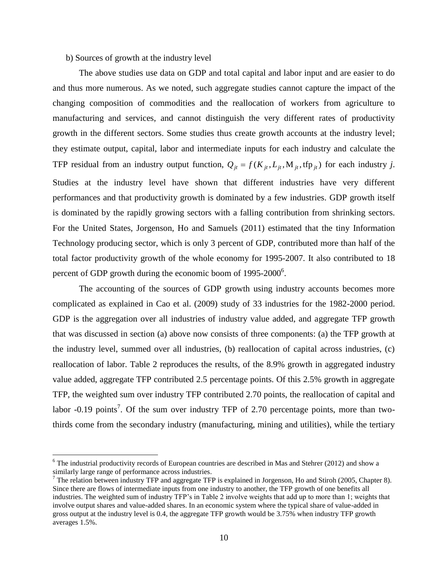### b) Sources of growth at the industry level

 $\overline{a}$ 

The above studies use data on GDP and total capital and labor input and are easier to do and thus more numerous. As we noted, such aggregate studies cannot capture the impact of the changing composition of commodities and the reallocation of workers from agriculture to manufacturing and services, and cannot distinguish the very different rates of productivity growth in the different sectors. Some studies thus create growth accounts at the industry level; they estimate output, capital, labor and intermediate inputs for each industry and calculate the TFP residual from an industry output function,  $Q_{it} = f(K_{it}, L_{it}, M_{it}, tfp_{it})$  for each industry *j*. Studies at the industry level have shown that different industries have very different performances and that productivity growth is dominated by a few industries. GDP growth itself is dominated by the rapidly growing sectors with a falling contribution from shrinking sectors. For the United States, Jorgenson, Ho and Samuels (2011) estimated that the tiny Information Technology producing sector, which is only 3 percent of GDP, contributed more than half of the total factor productivity growth of the whole economy for 1995-2007. It also contributed to 18 percent of GDP growth during the economic boom of  $1995-2000^6$ .

The accounting of the sources of GDP growth using industry accounts becomes more complicated as explained in Cao et al. (2009) study of 33 industries for the 1982-2000 period. GDP is the aggregation over all industries of industry value added, and aggregate TFP growth that was discussed in section (a) above now consists of three components: (a) the TFP growth at the industry level, summed over all industries, (b) reallocation of capital across industries, (c) reallocation of labor. Table 2 reproduces the results, of the 8.9% growth in aggregated industry value added, aggregate TFP contributed 2.5 percentage points. Of this 2.5% growth in aggregate TFP, the weighted sum over industry TFP contributed 2.70 points, the reallocation of capital and labor -0.19 points<sup>7</sup>. Of the sum over industry TFP of 2.70 percentage points, more than twothirds come from the secondary industry (manufacturing, mining and utilities), while the tertiary

 $6$  The industrial productivity records of European countries are described in Mas and Stehrer (2012) and show a similarly large range of performance across industries.

<sup>&</sup>lt;sup>7</sup> The relation between industry TFP and aggregate TFP is explained in Jorgenson, Ho and Stiroh (2005, Chapter 8). Since there are flows of intermediate inputs from one industry to another, the TFP growth of one benefits all industries. The weighted sum of industry TFP's in Table 2 involve weights that add up to more than 1; weights that involve output shares and value-added shares. In an economic system where the typical share of value-added in gross output at the industry level is 0.4, the aggregate TFP growth would be 3.75% when industry TFP growth averages 1.5%.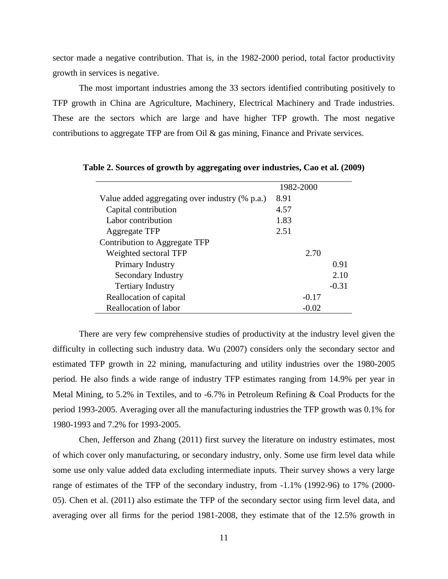sector made a negative contribution. That is, in the 1982-2000 period, total factor productivity growth in services is negative.

The most important industries among the 33 sectors identified contributing positively to TFP growth in China are Agriculture, Machinery, Electrical Machinery and Trade industries. These are the sectors which are large and have higher TFP growth. The most negative contributions to aggregate TFP are from Oil & gas mining, Finance and Private services.

|                                                | 1982-2000 |         |
|------------------------------------------------|-----------|---------|
| Value added aggregating over industry (% p.a.) | 8.91      |         |
| Capital contribution                           | 4.57      |         |
| Labor contribution                             | 1.83      |         |
| <b>Aggregate TFP</b>                           | 2.51      |         |
| Contribution to Aggregate TFP                  |           |         |
| Weighted sectoral TFP                          | 2.70      |         |
| Primary Industry                               |           | 0.91    |
| Secondary Industry                             |           | 2.10    |
| <b>Tertiary Industry</b>                       |           | $-0.31$ |
| Reallocation of capital                        | $-0.17$   |         |
| Reallocation of labor                          | $-0.02$   |         |

**Table 2. Sources of growth by aggregating over industries, Cao et al. (2009)**

There are very few comprehensive studies of productivity at the industry level given the difficulty in collecting such industry data. Wu (2007) considers only the secondary sector and estimated TFP growth in 22 mining, manufacturing and utility industries over the 1980-2005 period. He also finds a wide range of industry TFP estimates ranging from 14.9% per year in Metal Mining, to 5.2% in Textiles, and to -6.7% in Petroleum Refining & Coal Products for the period 1993-2005. Averaging over all the manufacturing industries the TFP growth was 0.1% for 1980-1993 and 7.2% for 1993-2005.

Chen, Jefferson and Zhang (2011) first survey the literature on industry estimates, most of which cover only manufacturing, or secondary industry, only. Some use firm level data while some use only value added data excluding intermediate inputs. Their survey shows a very large range of estimates of the TFP of the secondary industry, from -1.1% (1992-96) to 17% (2000- 05). Chen et al. (2011) also estimate the TFP of the secondary sector using firm level data, and averaging over all firms for the period 1981-2008, they estimate that of the 12.5% growth in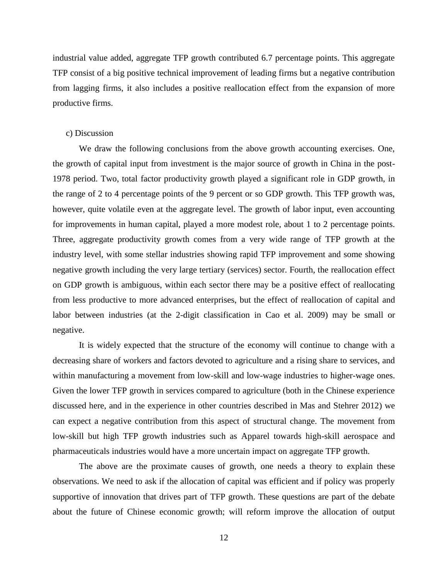industrial value added, aggregate TFP growth contributed 6.7 percentage points. This aggregate TFP consist of a big positive technical improvement of leading firms but a negative contribution from lagging firms, it also includes a positive reallocation effect from the expansion of more productive firms.

#### c) Discussion

We draw the following conclusions from the above growth accounting exercises. One, the growth of capital input from investment is the major source of growth in China in the post-1978 period. Two, total factor productivity growth played a significant role in GDP growth, in the range of 2 to 4 percentage points of the 9 percent or so GDP growth. This TFP growth was, however, quite volatile even at the aggregate level. The growth of labor input, even accounting for improvements in human capital, played a more modest role, about 1 to 2 percentage points. Three, aggregate productivity growth comes from a very wide range of TFP growth at the industry level, with some stellar industries showing rapid TFP improvement and some showing negative growth including the very large tertiary (services) sector. Fourth, the reallocation effect on GDP growth is ambiguous, within each sector there may be a positive effect of reallocating from less productive to more advanced enterprises, but the effect of reallocation of capital and labor between industries (at the 2-digit classification in Cao et al. 2009) may be small or negative.

It is widely expected that the structure of the economy will continue to change with a decreasing share of workers and factors devoted to agriculture and a rising share to services, and within manufacturing a movement from low-skill and low-wage industries to higher-wage ones. Given the lower TFP growth in services compared to agriculture (both in the Chinese experience discussed here, and in the experience in other countries described in Mas and Stehrer 2012) we can expect a negative contribution from this aspect of structural change. The movement from low-skill but high TFP growth industries such as Apparel towards high-skill aerospace and pharmaceuticals industries would have a more uncertain impact on aggregate TFP growth.

The above are the proximate causes of growth, one needs a theory to explain these observations. We need to ask if the allocation of capital was efficient and if policy was properly supportive of innovation that drives part of TFP growth. These questions are part of the debate about the future of Chinese economic growth; will reform improve the allocation of output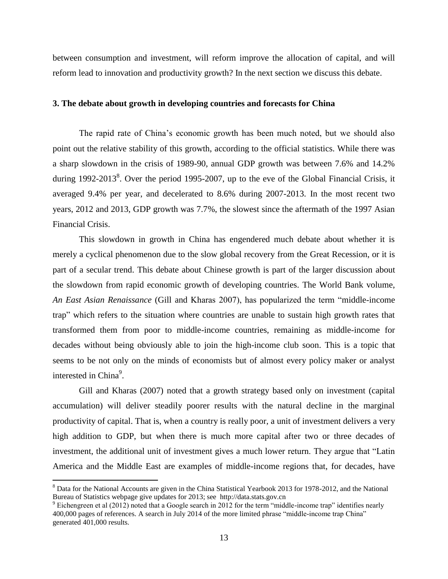between consumption and investment, will reform improve the allocation of capital, and will reform lead to innovation and productivity growth? In the next section we discuss this debate.

#### **3. The debate about growth in developing countries and forecasts for China**

The rapid rate of China's economic growth has been much noted, but we should also point out the relative stability of this growth, according to the official statistics. While there was a sharp slowdown in the crisis of 1989-90, annual GDP growth was between 7.6% and 14.2% during 1992-2013<sup>8</sup>. Over the period 1995-2007, up to the eve of the Global Financial Crisis, it averaged 9.4% per year, and decelerated to 8.6% during 2007-2013. In the most recent two years, 2012 and 2013, GDP growth was 7.7%, the slowest since the aftermath of the 1997 Asian Financial Crisis.

This slowdown in growth in China has engendered much debate about whether it is merely a cyclical phenomenon due to the slow global recovery from the Great Recession, or it is part of a secular trend. This debate about Chinese growth is part of the larger discussion about the slowdown from rapid economic growth of developing countries. The World Bank volume, *An East Asian Renaissance* (Gill and Kharas 2007), has popularized the term "middle-income trap" which refers to the situation where countries are unable to sustain high growth rates that transformed them from poor to middle-income countries, remaining as middle-income for decades without being obviously able to join the high-income club soon. This is a topic that seems to be not only on the minds of economists but of almost every policy maker or analyst interested in China<sup>9</sup>.

Gill and Kharas (2007) noted that a growth strategy based only on investment (capital accumulation) will deliver steadily poorer results with the natural decline in the marginal productivity of capital. That is, when a country is really poor, a unit of investment delivers a very high addition to GDP, but when there is much more capital after two or three decades of investment, the additional unit of investment gives a much lower return. They argue that "Latin America and the Middle East are examples of middle-income regions that, for decades, have

<sup>&</sup>lt;sup>8</sup> Data for the National Accounts are given in the China Statistical Yearbook 2013 for 1978-2012, and the National Bureau of Statistics webpage give updates for 2013; see http://data.stats.gov.cn

 $9$  Eichengreen et al (2012) noted that a Google search in 2012 for the term "middle-income trap" identifies nearly 400,000 pages of references. A search in July 2014 of the more limited phrase "middle-income trap China" generated 401,000 results.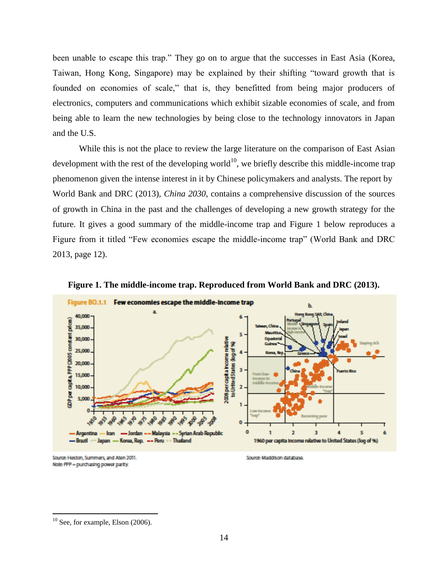been unable to escape this trap." They go on to argue that the successes in East Asia (Korea, Taiwan, Hong Kong, Singapore) may be explained by their shifting "toward growth that is founded on economies of scale," that is, they benefitted from being major producers of electronics, computers and communications which exhibit sizable economies of scale, and from being able to learn the new technologies by being close to the technology innovators in Japan and the U.S.

While this is not the place to review the large literature on the comparison of East Asian development with the rest of the developing world<sup>10</sup>, we briefly describe this middle-income trap phenomenon given the intense interest in it by Chinese policymakers and analysts. The report by World Bank and DRC (2013), *China 2030*, contains a comprehensive discussion of the sources of growth in China in the past and the challenges of developing a new growth strategy for the future. It gives a good summary of the middle-income trap and Figure 1 below reproduces a Figure from it titled "Few economies escape the middle-income trap" (World Bank and DRC 2013, page 12).



**Figure 1. The middle-income trap. Reproduced from World Bank and DRC (2013).**

Source: Heston, Summers, and Aten 2011. Note: PPP - purchasing power parity.

Source: Maddison database

 $10$  See, for example, Elson (2006).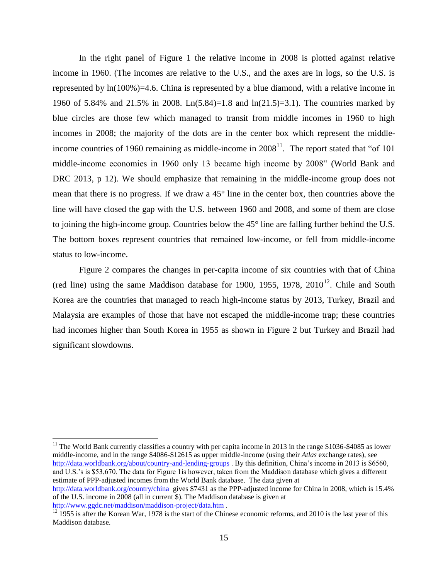In the right panel of Figure 1 the relative income in 2008 is plotted against relative income in 1960. (The incomes are relative to the U.S., and the axes are in logs, so the U.S. is represented by ln(100%)=4.6. China is represented by a blue diamond, with a relative income in 1960 of 5.84% and 21.5% in 2008. Ln(5.84)=1.8 and ln(21.5)=3.1). The countries marked by blue circles are those few which managed to transit from middle incomes in 1960 to high incomes in 2008; the majority of the dots are in the center box which represent the middleincome countries of 1960 remaining as middle-income in  $2008<sup>11</sup>$ . The report stated that "of 101 middle-income economies in 1960 only 13 became high income by 2008" (World Bank and DRC 2013, p 12). We should emphasize that remaining in the middle-income group does not mean that there is no progress. If we draw a 45° line in the center box, then countries above the line will have closed the gap with the U.S. between 1960 and 2008, and some of them are close to joining the high-income group. Countries below the 45° line are falling further behind the U.S. The bottom boxes represent countries that remained low-income, or fell from middle-income status to low-income.

Figure 2 compares the changes in per-capita income of six countries with that of China (red line) using the same Maddison database for 1900, 1955, 1978,  $2010^{12}$ . Chile and South Korea are the countries that managed to reach high-income status by 2013, Turkey, Brazil and Malaysia are examples of those that have not escaped the middle-income trap; these countries had incomes higher than South Korea in 1955 as shown in Figure 2 but Turkey and Brazil had significant slowdowns.

 $11$  The World Bank currently classifies a country with per capita income in 2013 in the range \$1036-\$4085 as lower middle-income, and in the range \$4086-\$12615 as upper middle-income (using their *Atlas* exchange rates), see <http://data.worldbank.org/about/country-and-lending-groups> . By this definition, China's income in 2013 is \$6560, and U.S.'s is \$53,670. The data for Figure 1is however, taken from the Maddison database which gives a different estimate of PPP-adjusted incomes from the World Bank database. The data given at <http://data.worldbank.org/country/china>gives \$7431 as the PPP-adjusted income for China in 2008, which is 15.4% of the U.S. income in 2008 (all in current \$). The Maddison database is given at <http://www.ggdc.net/maddison/maddison-project/data.htm> .

 $\frac{12}{12}$  1955 is after the Korean War, 1978 is the start of the Chinese economic reforms, and 2010 is the last year of this Maddison database.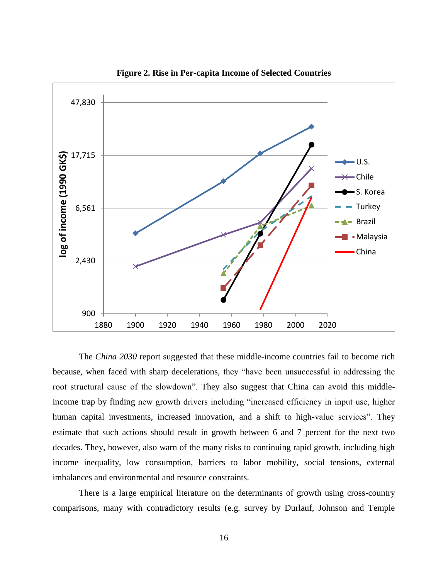

**Figure 2. Rise in Per-capita Income of Selected Countries**

The *China 2030* report suggested that these middle-income countries fail to become rich because, when faced with sharp decelerations, they "have been unsuccessful in addressing the root structural cause of the slowdown". They also suggest that China can avoid this middleincome trap by finding new growth drivers including "increased efficiency in input use, higher human capital investments, increased innovation, and a shift to high-value services". They estimate that such actions should result in growth between 6 and 7 percent for the next two decades. They, however, also warn of the many risks to continuing rapid growth, including high income inequality, low consumption, barriers to labor mobility, social tensions, external imbalances and environmental and resource constraints.

There is a large empirical literature on the determinants of growth using cross-country comparisons, many with contradictory results (e.g. survey by Durlauf, Johnson and Temple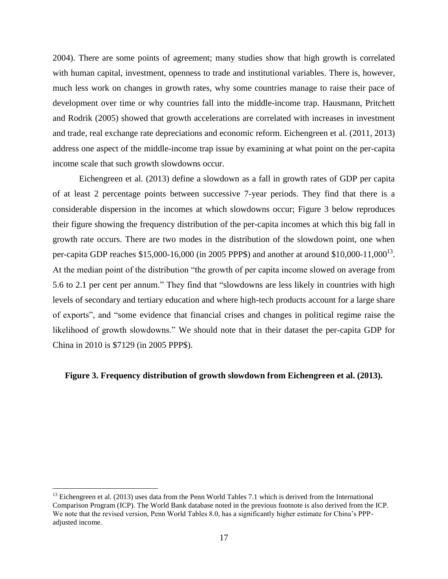2004). There are some points of agreement; many studies show that high growth is correlated with human capital, investment, openness to trade and institutional variables. There is, however, much less work on changes in growth rates, why some countries manage to raise their pace of development over time or why countries fall into the middle-income trap. Hausmann, Pritchett and Rodrik (2005) showed that growth accelerations are correlated with increases in investment and trade, real exchange rate depreciations and economic reform. Eichengreen et al. (2011, 2013) address one aspect of the middle-income trap issue by examining at what point on the per-capita income scale that such growth slowdowns occur.

Eichengreen et al. (2013) define a slowdown as a fall in growth rates of GDP per capita of at least 2 percentage points between successive 7-year periods. They find that there is a considerable dispersion in the incomes at which slowdowns occur; Figure 3 below reproduces their figure showing the frequency distribution of the per-capita incomes at which this big fall in growth rate occurs. There are two modes in the distribution of the slowdown point, one when per-capita GDP reaches \$15,000-16,000 (in 2005 PPP\$) and another at around \$10,000-11,000<sup>13</sup>. At the median point of the distribution "the growth of per capita income slowed on average from 5.6 to 2.1 per cent per annum." They find that "slowdowns are less likely in countries with high levels of secondary and tertiary education and where high-tech products account for a large share of exports", and "some evidence that financial crises and changes in political regime raise the likelihood of growth slowdowns." We should note that in their dataset the per-capita GDP for China in 2010 is \$7129 (in 2005 PPP\$).

## **Figure 3. Frequency distribution of growth slowdown from Eichengreen et al. (2013).**

<sup>&</sup>lt;sup>13</sup> Eichengreen et al. (2013) uses data from the Penn World Tables 7.1 which is derived from the International Comparison Program (ICP). The World Bank database noted in the previous footnote is also derived from the ICP. We note that the revised version, Penn World Tables 8.0, has a significantly higher estimate for China's PPPadjusted income.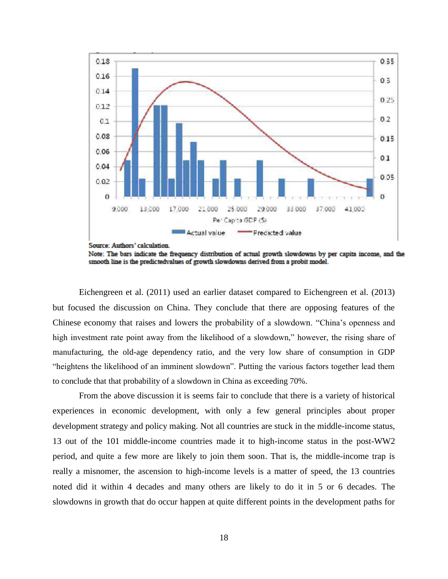

Note: The bars indicate the frequency distribution of actual growth slowdowns by per capita income, and the smooth line is the predictedvalues of growth slowdowns derived from a probit model.

Eichengreen et al. (2011) used an earlier dataset compared to Eichengreen et al. (2013) but focused the discussion on China. They conclude that there are opposing features of the Chinese economy that raises and lowers the probability of a slowdown. "China's openness and high investment rate point away from the likelihood of a slowdown," however, the rising share of manufacturing, the old-age dependency ratio, and the very low share of consumption in GDP "heightens the likelihood of an imminent slowdown". Putting the various factors together lead them to conclude that that probability of a slowdown in China as exceeding 70%.

From the above discussion it is seems fair to conclude that there is a variety of historical experiences in economic development, with only a few general principles about proper development strategy and policy making. Not all countries are stuck in the middle-income status, 13 out of the 101 middle-income countries made it to high-income status in the post-WW2 period, and quite a few more are likely to join them soon. That is, the middle-income trap is really a misnomer, the ascension to high-income levels is a matter of speed, the 13 countries noted did it within 4 decades and many others are likely to do it in 5 or 6 decades. The slowdowns in growth that do occur happen at quite different points in the development paths for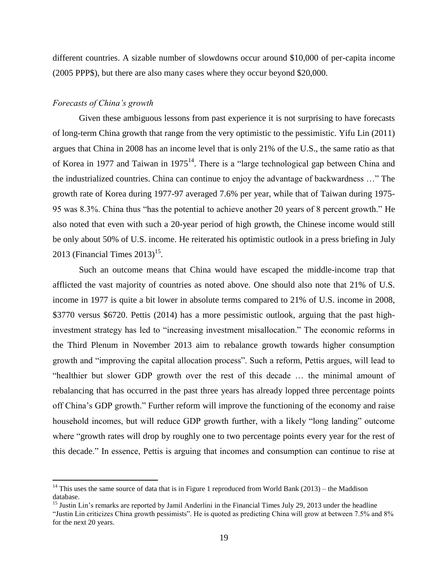different countries. A sizable number of slowdowns occur around \$10,000 of per-capita income (2005 PPP\$), but there are also many cases where they occur beyond \$20,000.

## *Forecasts of China's growth*

 $\overline{a}$ 

Given these ambiguous lessons from past experience it is not surprising to have forecasts of long-term China growth that range from the very optimistic to the pessimistic. Yifu Lin (2011) argues that China in 2008 has an income level that is only 21% of the U.S., the same ratio as that of Korea in 1977 and Taiwan in 1975<sup>14</sup>. There is a "large technological gap between China and the industrialized countries. China can continue to enjoy the advantage of backwardness …" The growth rate of Korea during 1977-97 averaged 7.6% per year, while that of Taiwan during 1975- 95 was 8.3%. China thus "has the potential to achieve another 20 years of 8 percent growth." He also noted that even with such a 20-year period of high growth, the Chinese income would still be only about 50% of U.S. income. He reiterated his optimistic outlook in a press briefing in July 2013 (Financial Times  $2013$ )<sup>15</sup>.

Such an outcome means that China would have escaped the middle-income trap that afflicted the vast majority of countries as noted above. One should also note that 21% of U.S. income in 1977 is quite a bit lower in absolute terms compared to 21% of U.S. income in 2008, \$3770 versus \$6720. Pettis (2014) has a more pessimistic outlook, arguing that the past highinvestment strategy has led to "increasing investment misallocation." The economic reforms in the Third Plenum in November 2013 aim to rebalance growth towards higher consumption growth and "improving the capital allocation process". Such a reform, Pettis argues, will lead to "healthier but slower GDP growth over the rest of this decade … the minimal amount of rebalancing that has occurred in the past three years has already lopped three percentage points off China's GDP growth." Further reform will improve the functioning of the economy and raise household incomes, but will reduce GDP growth further, with a likely "long landing" outcome where "growth rates will drop by roughly one to two percentage points every year for the rest of this decade." In essence, Pettis is arguing that incomes and consumption can continue to rise at

<sup>&</sup>lt;sup>14</sup> This uses the same source of data that is in Figure 1 reproduced from World Bank (2013) – the Maddison database.

<sup>&</sup>lt;sup>15</sup> Justin Lin's remarks are reported by Jamil Anderlini in the Financial Times July 29, 2013 under the headline "Justin Lin criticizes China growth pessimists". He is quoted as predicting China will grow at between 7.5% and 8% for the next 20 years.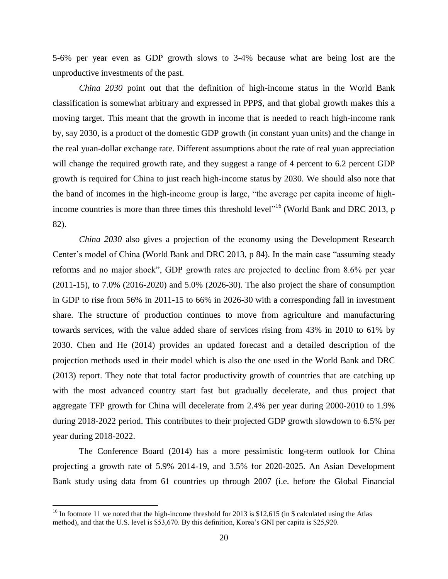5-6% per year even as GDP growth slows to 3-4% because what are being lost are the unproductive investments of the past.

*China 2030* point out that the definition of high-income status in the World Bank classification is somewhat arbitrary and expressed in PPP\$, and that global growth makes this a moving target. This meant that the growth in income that is needed to reach high-income rank by, say 2030, is a product of the domestic GDP growth (in constant yuan units) and the change in the real yuan-dollar exchange rate. Different assumptions about the rate of real yuan appreciation will change the required growth rate, and they suggest a range of 4 percent to 6.2 percent GDP growth is required for China to just reach high-income status by 2030. We should also note that the band of incomes in the high-income group is large, "the average per capita income of highincome countries is more than three times this threshold level<sup>116</sup> (World Bank and DRC 2013, p 82).

*China 2030* also gives a projection of the economy using the Development Research Center's model of China (World Bank and DRC 2013, p 84). In the main case "assuming steady reforms and no major shock", GDP growth rates are projected to decline from 8.6% per year (2011-15), to 7.0% (2016-2020) and 5.0% (2026-30). The also project the share of consumption in GDP to rise from 56% in 2011-15 to 66% in 2026-30 with a corresponding fall in investment share. The structure of production continues to move from agriculture and manufacturing towards services, with the value added share of services rising from 43% in 2010 to 61% by 2030. Chen and He (2014) provides an updated forecast and a detailed description of the projection methods used in their model which is also the one used in the World Bank and DRC (2013) report. They note that total factor productivity growth of countries that are catching up with the most advanced country start fast but gradually decelerate, and thus project that aggregate TFP growth for China will decelerate from 2.4% per year during 2000-2010 to 1.9% during 2018-2022 period. This contributes to their projected GDP growth slowdown to 6.5% per year during 2018-2022.

The Conference Board (2014) has a more pessimistic long-term outlook for China projecting a growth rate of 5.9% 2014-19, and 3.5% for 2020-2025. An Asian Development Bank study using data from 61 countries up through 2007 (i.e. before the Global Financial

<sup>&</sup>lt;sup>16</sup> In footnote 11 we noted that the high-income threshold for 2013 is \$12,615 (in \$ calculated using the Atlas method), and that the U.S. level is \$53,670. By this definition, Korea's GNI per capita is \$25,920.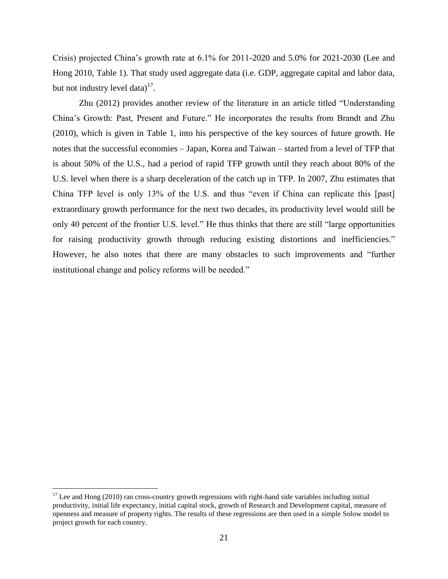Crisis) projected China's growth rate at 6.1% for 2011-2020 and 5.0% for 2021-2030 (Lee and Hong 2010, Table 1). That study used aggregate data (i.e. GDP, aggregate capital and labor data, but not industry level data) $^{17}$ .

Zhu (2012) provides another review of the literature in an article titled "Understanding China's Growth: Past, Present and Future." He incorporates the results from Brandt and Zhu (2010), which is given in Table 1, into his perspective of the key sources of future growth. He notes that the successful economies – Japan, Korea and Taiwan – started from a level of TFP that is about 50% of the U.S., had a period of rapid TFP growth until they reach about 80% of the U.S. level when there is a sharp deceleration of the catch up in TFP. In 2007, Zhu estimates that China TFP level is only 13% of the U.S. and thus "even if China can replicate this [past] extraordinary growth performance for the next two decades, its productivity level would still be only 40 percent of the frontier U.S. level." He thus thinks that there are still "large opportunities for raising productivity growth through reducing existing distortions and inefficiencies." However, he also notes that there are many obstacles to such improvements and "further institutional change and policy reforms will be needed."

 $17$  Lee and Hong (2010) ran cross-country growth regressions with right-hand side variables including initial productivity, initial life expectancy, initial capital stock, growth of Research and Development capital, measure of openness and measure of property rights. The results of these regressions are then used in a simple Solow model to project growth for each country.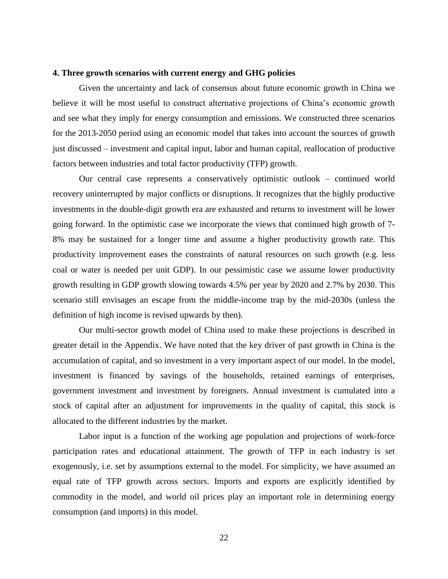#### **4. Three growth scenarios with current energy and GHG policies**

Given the uncertainty and lack of consensus about future economic growth in China we believe it will be most useful to construct alternative projections of China's economic growth and see what they imply for energy consumption and emissions. We constructed three scenarios for the 2013-2050 period using an economic model that takes into account the sources of growth just discussed – investment and capital input, labor and human capital, reallocation of productive factors between industries and total factor productivity (TFP) growth.

Our central case represents a conservatively optimistic outlook – continued world recovery uninterrupted by major conflicts or disruptions. It recognizes that the highly productive investments in the double-digit growth era are exhausted and returns to investment will be lower going forward. In the optimistic case we incorporate the views that continued high growth of 7- 8% may be sustained for a longer time and assume a higher productivity growth rate. This productivity improvement eases the constraints of natural resources on such growth (e.g. less coal or water is needed per unit GDP). In our pessimistic case we assume lower productivity growth resulting in GDP growth slowing towards 4.5% per year by 2020 and 2.7% by 2030. This scenario still envisages an escape from the middle-income trap by the mid-2030s (unless the definition of high income is revised upwards by then).

Our multi-sector growth model of China used to make these projections is described in greater detail in the Appendix. We have noted that the key driver of past growth in China is the accumulation of capital, and so investment in a very important aspect of our model. In the model, investment is financed by savings of the households, retained earnings of enterprises, government investment and investment by foreigners. Annual investment is cumulated into a stock of capital after an adjustment for improvements in the quality of capital, this stock is allocated to the different industries by the market.

Labor input is a function of the working age population and projections of work-force participation rates and educational attainment. The growth of TFP in each industry is set exogenously, i.e. set by assumptions external to the model. For simplicity, we have assumed an equal rate of TFP growth across sectors. Imports and exports are explicitly identified by commodity in the model, and world oil prices play an important role in determining energy consumption (and imports) in this model.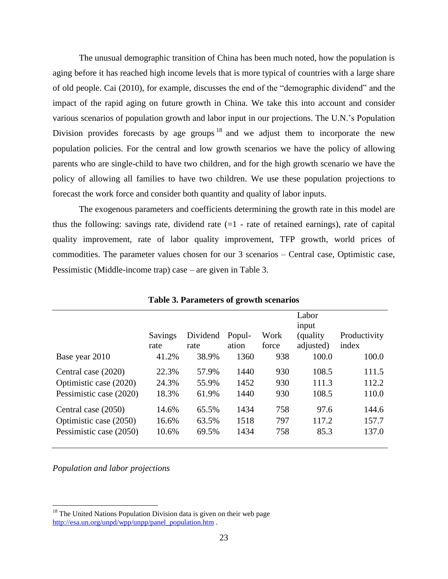The unusual demographic transition of China has been much noted, how the population is aging before it has reached high income levels that is more typical of countries with a large share of old people. Cai (2010), for example, discusses the end of the "demographic dividend" and the impact of the rapid aging on future growth in China. We take this into account and consider various scenarios of population growth and labor input in our projections. The U.N.'s Population Division provides forecasts by age groups  $18$  and we adjust them to incorporate the new population policies. For the central and low growth scenarios we have the policy of allowing parents who are single-child to have two children, and for the high growth scenario we have the policy of allowing all families to have two children. We use these population projections to forecast the work force and consider both quantity and quality of labor inputs.

The exogenous parameters and coefficients determining the growth rate in this model are thus the following: savings rate, dividend rate  $(=1 -$  rate of retained earnings), rate of capital quality improvement, rate of labor quality improvement, TFP growth, world prices of commodities. The parameter values chosen for our 3 scenarios – Central case, Optimistic case, Pessimistic (Middle-income trap) case – are given in Table 3.

|                         | Savings<br>rate | Dividend<br>rate | Popul-<br>ation | Work<br>force | Labor<br>input<br>(quality)<br>adjusted) | Productivity<br>index |
|-------------------------|-----------------|------------------|-----------------|---------------|------------------------------------------|-----------------------|
| Base year 2010          | 41.2%           | 38.9%            | 1360            | 938           | 100.0                                    | 100.0                 |
| Central case (2020)     | 22.3%           | 57.9%            | 1440            | 930           | 108.5                                    | 111.5                 |
| Optimistic case (2020)  | 24.3%           | 55.9%            | 1452            | 930           | 111.3                                    | 112.2                 |
| Pessimistic case (2020) | 18.3%           | 61.9%            | 1440            | 930           | 108.5                                    | 110.0                 |
| Central case (2050)     | 14.6%           | 65.5%            | 1434            | 758           | 97.6                                     | 144.6                 |
| Optimistic case (2050)  | 16.6%           | 63.5%            | 1518            | 797           | 117.2                                    | 157.7                 |
| Pessimistic case (2050) | 10.6%           | 69.5%            | 1434            | 758           | 85.3                                     | 137.0                 |

**Table 3. Parameters of growth scenarios**

*Population and labor projections*

<sup>&</sup>lt;sup>18</sup> The United Nations Population Division data is given on their web page [http://esa.un.org/unpd/wpp/unpp/panel\\_population.htm](http://esa.un.org/unpd/wpp/unpp/panel_population.htm) .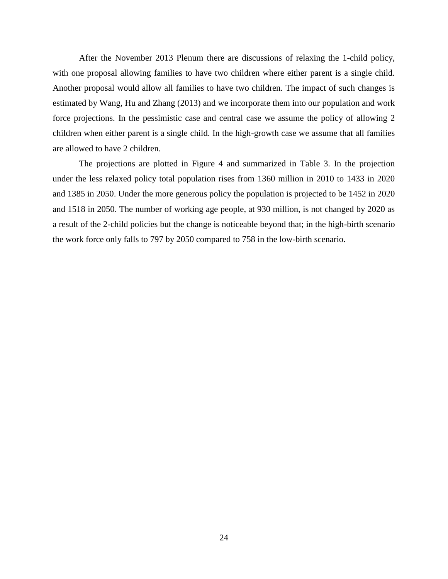After the November 2013 Plenum there are discussions of relaxing the 1-child policy, with one proposal allowing families to have two children where either parent is a single child. Another proposal would allow all families to have two children. The impact of such changes is estimated by Wang, Hu and Zhang (2013) and we incorporate them into our population and work force projections. In the pessimistic case and central case we assume the policy of allowing 2 children when either parent is a single child. In the high-growth case we assume that all families are allowed to have 2 children.

The projections are plotted in Figure 4 and summarized in Table 3. In the projection under the less relaxed policy total population rises from 1360 million in 2010 to 1433 in 2020 and 1385 in 2050. Under the more generous policy the population is projected to be 1452 in 2020 and 1518 in 2050. The number of working age people, at 930 million, is not changed by 2020 as a result of the 2-child policies but the change is noticeable beyond that; in the high-birth scenario the work force only falls to 797 by 2050 compared to 758 in the low-birth scenario.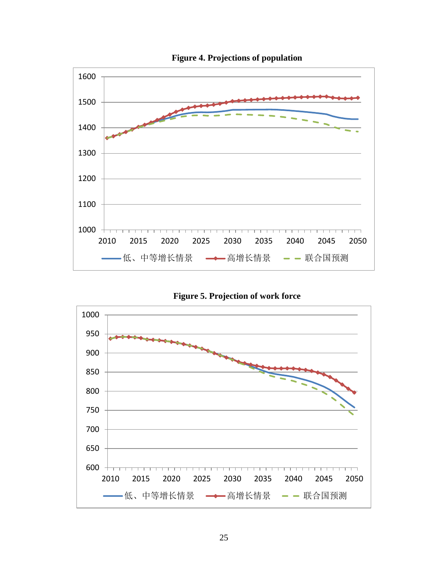

**Figure 4. Projections of population**

**Figure 5. Projection of work force**

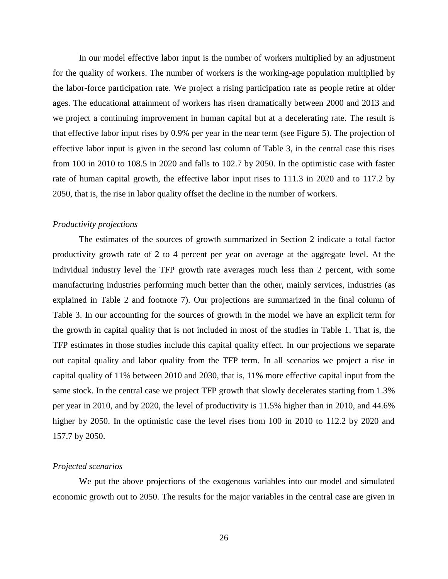In our model effective labor input is the number of workers multiplied by an adjustment for the quality of workers. The number of workers is the working-age population multiplied by the labor-force participation rate. We project a rising participation rate as people retire at older ages. The educational attainment of workers has risen dramatically between 2000 and 2013 and we project a continuing improvement in human capital but at a decelerating rate. The result is that effective labor input rises by 0.9% per year in the near term (see Figure 5). The projection of effective labor input is given in the second last column of Table 3, in the central case this rises from 100 in 2010 to 108.5 in 2020 and falls to 102.7 by 2050. In the optimistic case with faster rate of human capital growth, the effective labor input rises to 111.3 in 2020 and to 117.2 by 2050, that is, the rise in labor quality offset the decline in the number of workers.

#### *Productivity projections*

The estimates of the sources of growth summarized in Section 2 indicate a total factor productivity growth rate of 2 to 4 percent per year on average at the aggregate level. At the individual industry level the TFP growth rate averages much less than 2 percent, with some manufacturing industries performing much better than the other, mainly services, industries (as explained in Table 2 and footnote 7). Our projections are summarized in the final column of Table 3. In our accounting for the sources of growth in the model we have an explicit term for the growth in capital quality that is not included in most of the studies in Table 1. That is, the TFP estimates in those studies include this capital quality effect. In our projections we separate out capital quality and labor quality from the TFP term. In all scenarios we project a rise in capital quality of 11% between 2010 and 2030, that is, 11% more effective capital input from the same stock. In the central case we project TFP growth that slowly decelerates starting from 1.3% per year in 2010, and by 2020, the level of productivity is 11.5% higher than in 2010, and 44.6% higher by 2050. In the optimistic case the level rises from 100 in 2010 to 112.2 by 2020 and 157.7 by 2050.

## *Projected scenarios*

We put the above projections of the exogenous variables into our model and simulated economic growth out to 2050. The results for the major variables in the central case are given in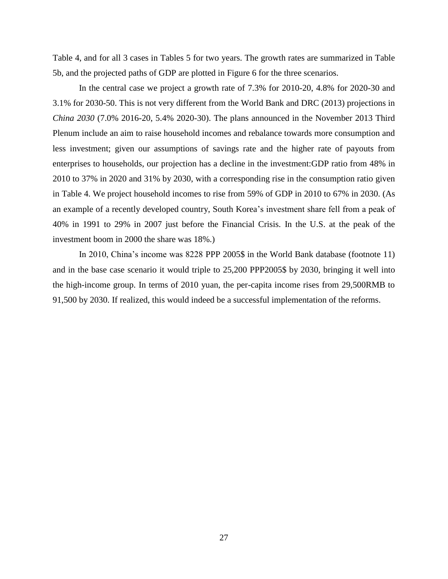Table 4, and for all 3 cases in Tables 5 for two years. The growth rates are summarized in Table 5b, and the projected paths of GDP are plotted in Figure 6 for the three scenarios.

In the central case we project a growth rate of 7.3% for 2010-20, 4.8% for 2020-30 and 3.1% for 2030-50. This is not very different from the World Bank and DRC (2013) projections in *China 2030* (7.0% 2016-20, 5.4% 2020-30). The plans announced in the November 2013 Third Plenum include an aim to raise household incomes and rebalance towards more consumption and less investment; given our assumptions of savings rate and the higher rate of payouts from enterprises to households, our projection has a decline in the investment:GDP ratio from 48% in 2010 to 37% in 2020 and 31% by 2030, with a corresponding rise in the consumption ratio given in Table 4. We project household incomes to rise from 59% of GDP in 2010 to 67% in 2030. (As an example of a recently developed country, South Korea's investment share fell from a peak of 40% in 1991 to 29% in 2007 just before the Financial Crisis. In the U.S. at the peak of the investment boom in 2000 the share was 18%.)

In 2010, China's income was 8228 PPP 2005\$ in the World Bank database (footnote 11) and in the base case scenario it would triple to 25,200 PPP2005\$ by 2030, bringing it well into the high-income group. In terms of 2010 yuan, the per-capita income rises from 29,500RMB to 91,500 by 2030. If realized, this would indeed be a successful implementation of the reforms.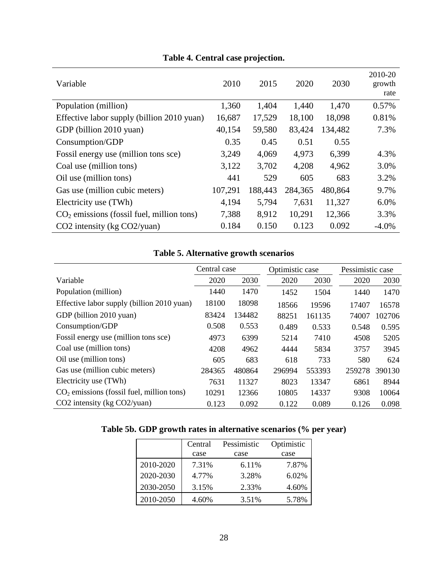| Variable                                    | 2010    | 2015    | 2020    | 2030    | 2010-20<br>growth<br>rate |
|---------------------------------------------|---------|---------|---------|---------|---------------------------|
| Population (million)                        | 1,360   | 1,404   | 1,440   | 1,470   | 0.57%                     |
| Effective labor supply (billion 2010 yuan)  | 16,687  | 17,529  | 18,100  | 18,098  | 0.81%                     |
| GDP (billion 2010 yuan)                     | 40,154  | 59,580  | 83,424  | 134,482 | 7.3%                      |
| Consumption/GDP                             | 0.35    | 0.45    | 0.51    | 0.55    |                           |
| Fossil energy use (million tons sce)        | 3,249   | 4,069   | 4,973   | 6,399   | 4.3%                      |
| Coal use (million tons)                     | 3,122   | 3,702   | 4,208   | 4,962   | 3.0%                      |
| Oil use (million tons)                      | 441     | 529     | 605     | 683     | 3.2%                      |
| Gas use (million cubic meters)              | 107,291 | 188,443 | 284,365 | 480,864 | 9.7%                      |
| Electricity use (TWh)                       | 4,194   | 5,794   | 7,631   | 11,327  | 6.0%                      |
| $CO2$ emissions (fossil fuel, million tons) | 7,388   | 8,912   | 10,291  | 12,366  | 3.3%                      |
| $CO2$ intensity (kg $CO2$ /yuan)            | 0.184   | 0.150   | 0.123   | 0.092   | $-4.0\%$                  |

# **Table 4. Central case projection.**

# **Table 5. Alternative growth scenarios**

|                                             | Central case |        |        | Optimistic case |        | Pessimistic case |
|---------------------------------------------|--------------|--------|--------|-----------------|--------|------------------|
| Variable                                    | 2020         | 2030   | 2020   | 2030            | 2020   | 2030             |
| Population (million)                        | 1440         | 1470   | 1452   | 1504            | 1440   | 1470             |
| Effective labor supply (billion 2010 yuan)  | 18100        | 18098  | 18566  | 19596           | 17407  | 16578            |
| GDP (billion 2010 yuan)                     | 83424        | 134482 | 88251  | 161135          | 74007  | 102706           |
| Consumption/GDP                             | 0.508        | 0.553  | 0.489  | 0.533           | 0.548  | 0.595            |
| Fossil energy use (million tons sce)        | 4973         | 6399   | 5214   | 7410            | 4508   | 5205             |
| Coal use (million tons)                     | 4208         | 4962   | 4444   | 5834            | 3757   | 3945             |
| Oil use (million tons)                      | 605          | 683    | 618    | 733             | 580    | 624              |
| Gas use (million cubic meters)              | 284365       | 480864 | 296994 | 553393          | 259278 | 390130           |
| Electricity use (TWh)                       | 7631         | 11327  | 8023   | 13347           | 6861   | 8944             |
| $CO2$ emissions (fossil fuel, million tons) | 10291        | 12366  | 10805  | 14337           | 9308   | 10064            |
| $CO2$ intensity (kg $CO2$ /yuan)            | 0.123        | 0.092  | 0.122  | 0.089           | 0.126  | 0.098            |

|  |  | Table 5b. GDP growth rates in alternative scenarios (% per year) |  |  |  |
|--|--|------------------------------------------------------------------|--|--|--|
|--|--|------------------------------------------------------------------|--|--|--|

|           | Central | Pessimistic | Optimistic |
|-----------|---------|-------------|------------|
|           | case    | case        | case       |
| 2010-2020 | 7.31%   | 6.11%       | 7.87%      |
| 2020-2030 | 4.77%   | 3.28%       | 6.02%      |
| 2030-2050 | 3.15%   | 2.33%       | 4.60%      |
| 2010-2050 | 4.60%   | 3.51%       | 5.78%      |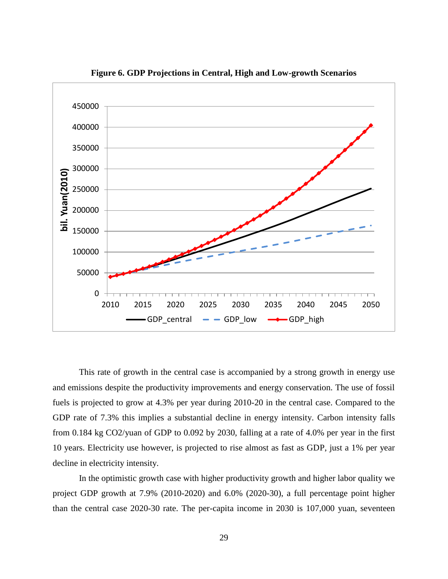![](_page_28_Figure_0.jpeg)

**Figure 6. GDP Projections in Central, High and Low-growth Scenarios**

This rate of growth in the central case is accompanied by a strong growth in energy use and emissions despite the productivity improvements and energy conservation. The use of fossil fuels is projected to grow at 4.3% per year during 2010-20 in the central case. Compared to the GDP rate of 7.3% this implies a substantial decline in energy intensity. Carbon intensity falls from 0.184 kg CO2/yuan of GDP to 0.092 by 2030, falling at a rate of 4.0% per year in the first 10 years. Electricity use however, is projected to rise almost as fast as GDP, just a 1% per year decline in electricity intensity.

In the optimistic growth case with higher productivity growth and higher labor quality we project GDP growth at 7.9% (2010-2020) and 6.0% (2020-30), a full percentage point higher than the central case 2020-30 rate. The per-capita income in 2030 is 107,000 yuan, seventeen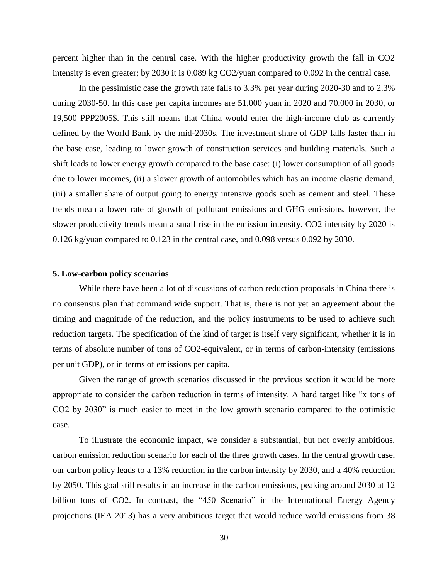percent higher than in the central case. With the higher productivity growth the fall in CO2 intensity is even greater; by 2030 it is 0.089 kg CO2/yuan compared to 0.092 in the central case.

In the pessimistic case the growth rate falls to 3.3% per year during 2020-30 and to 2.3% during 2030-50. In this case per capita incomes are 51,000 yuan in 2020 and 70,000 in 2030, or 19,500 PPP2005\$. This still means that China would enter the high-income club as currently defined by the World Bank by the mid-2030s. The investment share of GDP falls faster than in the base case, leading to lower growth of construction services and building materials. Such a shift leads to lower energy growth compared to the base case: (i) lower consumption of all goods due to lower incomes, (ii) a slower growth of automobiles which has an income elastic demand, (iii) a smaller share of output going to energy intensive goods such as cement and steel. These trends mean a lower rate of growth of pollutant emissions and GHG emissions, however, the slower productivity trends mean a small rise in the emission intensity. CO2 intensity by 2020 is 0.126 kg/yuan compared to 0.123 in the central case, and 0.098 versus 0.092 by 2030.

#### **5. Low-carbon policy scenarios**

While there have been a lot of discussions of carbon reduction proposals in China there is no consensus plan that command wide support. That is, there is not yet an agreement about the timing and magnitude of the reduction, and the policy instruments to be used to achieve such reduction targets. The specification of the kind of target is itself very significant, whether it is in terms of absolute number of tons of CO2-equivalent, or in terms of carbon-intensity (emissions per unit GDP), or in terms of emissions per capita.

Given the range of growth scenarios discussed in the previous section it would be more appropriate to consider the carbon reduction in terms of intensity. A hard target like "x tons of CO2 by 2030" is much easier to meet in the low growth scenario compared to the optimistic case.

To illustrate the economic impact, we consider a substantial, but not overly ambitious, carbon emission reduction scenario for each of the three growth cases. In the central growth case, our carbon policy leads to a 13% reduction in the carbon intensity by 2030, and a 40% reduction by 2050. This goal still results in an increase in the carbon emissions, peaking around 2030 at 12 billion tons of CO2. In contrast, the "450 Scenario" in the International Energy Agency projections (IEA 2013) has a very ambitious target that would reduce world emissions from 38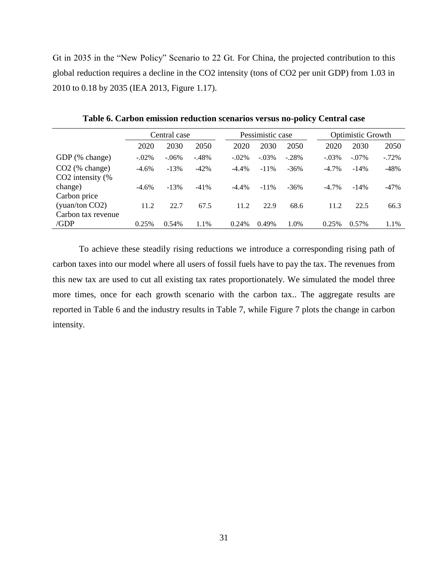Gt in 2035 in the "New Policy" Scenario to 22 Gt. For China, the projected contribution to this global reduction requires a decline in the CO2 intensity (tons of CO2 per unit GDP) from 1.03 in 2010 to 0.18 by 2035 (IEA 2013, Figure 1.17).

|                                       | Central case |          |         |          | Pessimistic case |         |          | <b>Optimistic Growth</b> |           |  |
|---------------------------------------|--------------|----------|---------|----------|------------------|---------|----------|--------------------------|-----------|--|
|                                       | 2020         | 2030     | 2050    | 2020     | 2030             | 2050    | 2020     | 2030                     | 2050      |  |
| GDP (% change)                        | $-.02%$      | $-.06\%$ | $-.48%$ | $-.02%$  | $-.03%$          | $-.28%$ | $-.03%$  | $-.07%$                  | $-0.72\%$ |  |
| $CO2$ (% change)<br>CO2 intensity (%) | $-4.6%$      | $-13%$   | $-42%$  | $-4.4%$  | $-11\%$          | $-36%$  | $-4.7\%$ | $-14%$                   | $-48%$    |  |
| change)<br>Carbon price               | $-4.6%$      | $-13%$   | $-41%$  | $-4.4\%$ | $-11\%$          | $-36\%$ | $-4.7\%$ | $-14%$                   | $-47%$    |  |
| (yuan/ton CO2)                        | 11.2         | 22.7     | 67.5    | 11.2     | 22.9             | 68.6    | 11.2     | 22.5                     | 66.3      |  |
| Carbon tax revenue<br>/GDP            | 0.25%        | 0.54%    | 1.1%    | 0.24%    | 0.49%            | 1.0%    | 0.25%    | 0.57%                    | 1.1%      |  |

**Table 6. Carbon emission reduction scenarios versus no-policy Central case**

To achieve these steadily rising reductions we introduce a corresponding rising path of carbon taxes into our model where all users of fossil fuels have to pay the tax. The revenues from this new tax are used to cut all existing tax rates proportionately. We simulated the model three more times, once for each growth scenario with the carbon tax.. The aggregate results are reported in Table 6 and the industry results in Table 7, while Figure 7 plots the change in carbon intensity.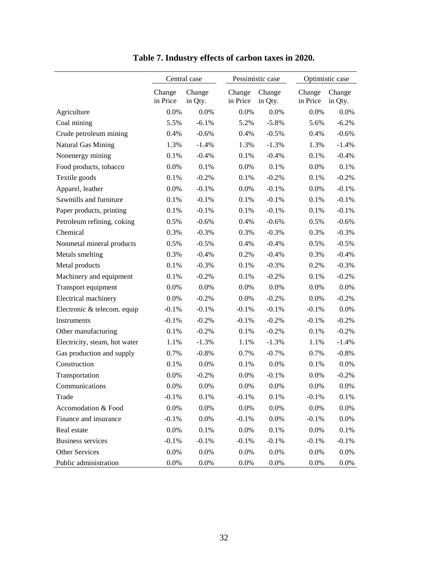|                               | Central case       |                   |                    | Pessimistic case  |                    | Optimistic case   |  |  |
|-------------------------------|--------------------|-------------------|--------------------|-------------------|--------------------|-------------------|--|--|
|                               | Change<br>in Price | Change<br>in Qty. | Change<br>in Price | Change<br>in Qty. | Change<br>in Price | Change<br>in Qty. |  |  |
| Agriculture                   | 0.0%               | 0.0%              | 0.0%               | 0.0%              | 0.0%               | $0.0\%$           |  |  |
| Coal mining                   | 5.5%               | $-6.1%$           | 5.2%               | $-5.8\%$          | 5.6%               | $-6.2%$           |  |  |
| Crude petroleum mining        | 0.4%               | $-0.6%$           | 0.4%               | $-0.5\%$          | 0.4%               | $-0.6%$           |  |  |
| Natural Gas Mining            | 1.3%               | $-1.4%$           | 1.3%               | $-1.3%$           | 1.3%               | $-1.4%$           |  |  |
| Nonenergy mining              | 0.1%               | $-0.4%$           | 0.1%               | $-0.4%$           | 0.1%               | $-0.4%$           |  |  |
| Food products, tobacco        | 0.0%               | 0.1%              | 0.0%               | 0.1%              | 0.0%               | 0.1%              |  |  |
| Textile goods                 | 0.1%               | $-0.2%$           | 0.1%               | $-0.2%$           | 0.1%               | $-0.2%$           |  |  |
| Apparel, leather              | 0.0%               | $-0.1%$           | 0.0%               | $-0.1%$           | 0.0%               | $-0.1%$           |  |  |
| Sawmills and furniture        | 0.1%               | $-0.1%$           | 0.1%               | $-0.1%$           | 0.1%               | $-0.1%$           |  |  |
| Paper products, printing      | 0.1%               | $-0.1%$           | 0.1%               | $-0.1%$           | 0.1%               | $-0.1%$           |  |  |
| Petroleum refining, coking    | 0.5%               | $-0.6%$           | 0.4%               | $-0.6%$           | 0.5%               | $-0.6%$           |  |  |
| Chemical                      | 0.3%               | $-0.3%$           | 0.3%               | $-0.3%$           | 0.3%               | $-0.3%$           |  |  |
| Nonmetal mineral products     | 0.5%               | $-0.5%$           | 0.4%               | $-0.4%$           | 0.5%               | $-0.5%$           |  |  |
| Metals smelting               | 0.3%               | $-0.4%$           | 0.2%               | $-0.4%$           | 0.3%               | $-0.4%$           |  |  |
| Metal products                | 0.1%               | $-0.3%$           | 0.1%               | $-0.3%$           | 0.2%               | $-0.3%$           |  |  |
| Machinery and equipment       | 0.1%               | $-0.2%$           | 0.1%               | $-0.2%$           | 0.1%               | $-0.2%$           |  |  |
| Transport equipment           | 0.0%               | 0.0%              | 0.0%               | 0.0%              | 0.0%               | $0.0\%$           |  |  |
| Electrical machinery          | 0.0%               | $-0.2%$           | 0.0%               | $-0.2%$           | 0.0%               | $-0.2%$           |  |  |
| Electronic & telecom. equip   | $-0.1%$            | $-0.1%$           | $-0.1%$            | $-0.1%$           | $-0.1%$            | 0.0%              |  |  |
| Instruments                   | $-0.1%$            | $-0.2%$           | $-0.1%$            | $-0.2%$           | $-0.1%$            | $-0.2%$           |  |  |
| Other manufacturing           | 0.1%               | $-0.2%$           | 0.1%               | $-0.2%$           | 0.1%               | $-0.2%$           |  |  |
| Electricity, steam, hot water | 1.1%               | $-1.3%$           | 1.1%               | $-1.3%$           | 1.1%               | $-1.4%$           |  |  |
| Gas production and supply     | 0.7%               | $-0.8%$           | 0.7%               | $-0.7\%$          | 0.7%               | $-0.8%$           |  |  |
| Construction                  | 0.1%               | 0.0%              | 0.1%               | 0.0%              | 0.1%               | $0.0\%$           |  |  |
| Transportation                | 0.0%               | $-0.2%$           | 0.0%               | $-0.1%$           | $0.0\%$            | $-0.2%$           |  |  |
| Communications                | 0.0%               | 0.0%              | 0.0%               | 0.0%              | 0.0%               | 0.0%              |  |  |
| Trade                         | $-0.1%$            | 0.1%              | $-0.1%$            | 0.1%              | $-0.1%$            | 0.1%              |  |  |
| Accomodation & Food           | 0.0%               | 0.0%              | $0.0\%$            | $0.0\%$           | 0.0%               | $0.0\%$           |  |  |
| Finance and insurance         | $-0.1%$            | 0.0%              | $-0.1%$            | 0.0%              | $-0.1%$            | 0.0%              |  |  |
| Real estate                   | 0.0%               | 0.1%              | 0.0%               | 0.1%              | 0.0%               | 0.1%              |  |  |
| <b>Business services</b>      | $-0.1%$            | $-0.1%$           | $-0.1%$            | $-0.1%$           | $-0.1%$            | $-0.1%$           |  |  |
| Other Services                | 0.0%               | 0.0%              | 0.0%               | 0.0%              | 0.0%               | 0.0%              |  |  |
| Public administration         | 0.0%               | 0.0%              | 0.0%               | 0.0%              | 0.0%               | 0.0%              |  |  |

**Table 7. Industry effects of carbon taxes in 2020.**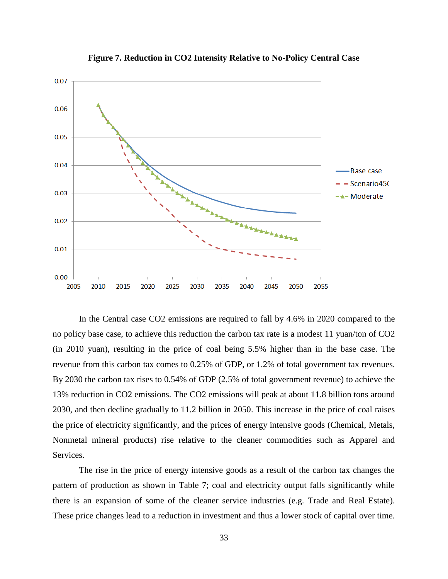![](_page_32_Figure_0.jpeg)

**Figure 7. Reduction in CO2 Intensity Relative to No-Policy Central Case**

In the Central case CO2 emissions are required to fall by 4.6% in 2020 compared to the no policy base case, to achieve this reduction the carbon tax rate is a modest 11 yuan/ton of CO2 (in 2010 yuan), resulting in the price of coal being 5.5% higher than in the base case. The revenue from this carbon tax comes to 0.25% of GDP, or 1.2% of total government tax revenues. By 2030 the carbon tax rises to 0.54% of GDP (2.5% of total government revenue) to achieve the 13% reduction in CO2 emissions. The CO2 emissions will peak at about 11.8 billion tons around 2030, and then decline gradually to 11.2 billion in 2050. This increase in the price of coal raises the price of electricity significantly, and the prices of energy intensive goods (Chemical, Metals, Nonmetal mineral products) rise relative to the cleaner commodities such as Apparel and Services.

The rise in the price of energy intensive goods as a result of the carbon tax changes the pattern of production as shown in Table 7; coal and electricity output falls significantly while there is an expansion of some of the cleaner service industries (e.g. Trade and Real Estate). These price changes lead to a reduction in investment and thus a lower stock of capital over time.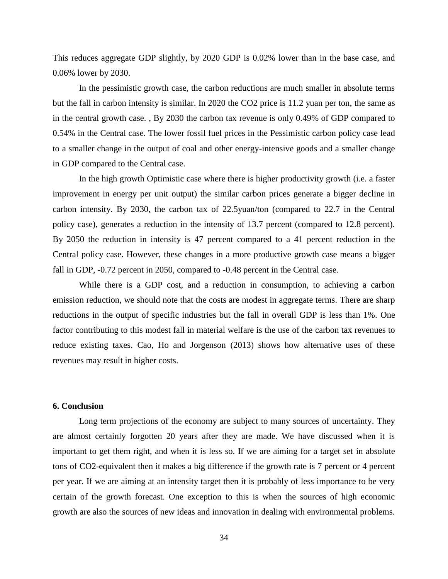This reduces aggregate GDP slightly, by 2020 GDP is 0.02% lower than in the base case, and 0.06% lower by 2030.

In the pessimistic growth case, the carbon reductions are much smaller in absolute terms but the fall in carbon intensity is similar. In 2020 the CO2 price is 11.2 yuan per ton, the same as in the central growth case. , By 2030 the carbon tax revenue is only 0.49% of GDP compared to 0.54% in the Central case. The lower fossil fuel prices in the Pessimistic carbon policy case lead to a smaller change in the output of coal and other energy-intensive goods and a smaller change in GDP compared to the Central case.

In the high growth Optimistic case where there is higher productivity growth (i.e. a faster improvement in energy per unit output) the similar carbon prices generate a bigger decline in carbon intensity. By 2030, the carbon tax of 22.5yuan/ton (compared to 22.7 in the Central policy case), generates a reduction in the intensity of 13.7 percent (compared to 12.8 percent). By 2050 the reduction in intensity is 47 percent compared to a 41 percent reduction in the Central policy case. However, these changes in a more productive growth case means a bigger fall in GDP, -0.72 percent in 2050, compared to -0.48 percent in the Central case.

While there is a GDP cost, and a reduction in consumption, to achieving a carbon emission reduction, we should note that the costs are modest in aggregate terms. There are sharp reductions in the output of specific industries but the fall in overall GDP is less than 1%. One factor contributing to this modest fall in material welfare is the use of the carbon tax revenues to reduce existing taxes. Cao, Ho and Jorgenson (2013) shows how alternative uses of these revenues may result in higher costs.

## **6. Conclusion**

Long term projections of the economy are subject to many sources of uncertainty. They are almost certainly forgotten 20 years after they are made. We have discussed when it is important to get them right, and when it is less so. If we are aiming for a target set in absolute tons of CO2-equivalent then it makes a big difference if the growth rate is 7 percent or 4 percent per year. If we are aiming at an intensity target then it is probably of less importance to be very certain of the growth forecast. One exception to this is when the sources of high economic growth are also the sources of new ideas and innovation in dealing with environmental problems.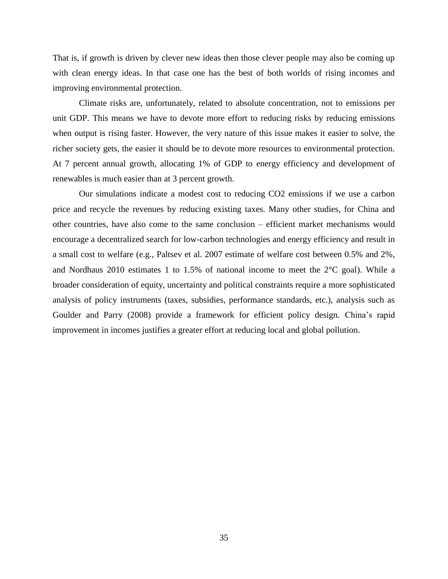That is, if growth is driven by clever new ideas then those clever people may also be coming up with clean energy ideas. In that case one has the best of both worlds of rising incomes and improving environmental protection.

Climate risks are, unfortunately, related to absolute concentration, not to emissions per unit GDP. This means we have to devote more effort to reducing risks by reducing emissions when output is rising faster. However, the very nature of this issue makes it easier to solve, the richer society gets, the easier it should be to devote more resources to environmental protection. At 7 percent annual growth, allocating 1% of GDP to energy efficiency and development of renewables is much easier than at 3 percent growth.

Our simulations indicate a modest cost to reducing CO2 emissions if we use a carbon price and recycle the revenues by reducing existing taxes. Many other studies, for China and other countries, have also come to the same conclusion – efficient market mechanisms would encourage a decentralized search for low-carbon technologies and energy efficiency and result in a small cost to welfare (e.g., Paltsev et al. 2007 estimate of welfare cost between 0.5% and 2%, and Nordhaus 2010 estimates 1 to 1.5% of national income to meet the 2°C goal). While a broader consideration of equity, uncertainty and political constraints require a more sophisticated analysis of policy instruments (taxes, subsidies, performance standards, etc.), analysis such as Goulder and Parry (2008) provide a framework for efficient policy design. China's rapid improvement in incomes justifies a greater effort at reducing local and global pollution.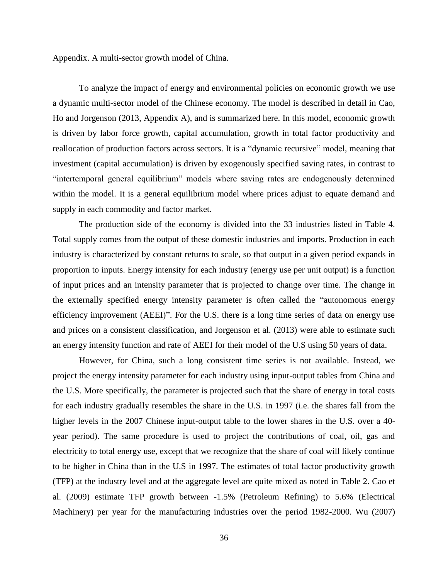Appendix. A multi-sector growth model of China.

To analyze the impact of energy and environmental policies on economic growth we use a dynamic multi-sector model of the Chinese economy. The model is described in detail in Cao, Ho and Jorgenson (2013, Appendix A), and is summarized here. In this model, economic growth is driven by labor force growth, capital accumulation, growth in total factor productivity and reallocation of production factors across sectors. It is a "dynamic recursive" model, meaning that investment (capital accumulation) is driven by exogenously specified saving rates, in contrast to "intertemporal general equilibrium" models where saving rates are endogenously determined within the model. It is a general equilibrium model where prices adjust to equate demand and supply in each commodity and factor market.

The production side of the economy is divided into the 33 industries listed in Table 4. Total supply comes from the output of these domestic industries and imports. Production in each industry is characterized by constant returns to scale, so that output in a given period expands in proportion to inputs. Energy intensity for each industry (energy use per unit output) is a function of input prices and an intensity parameter that is projected to change over time. The change in the externally specified energy intensity parameter is often called the "autonomous energy efficiency improvement (AEEI)". For the U.S. there is a long time series of data on energy use and prices on a consistent classification, and Jorgenson et al. (2013) were able to estimate such an energy intensity function and rate of AEEI for their model of the U.S using 50 years of data.

However, for China, such a long consistent time series is not available. Instead, we project the energy intensity parameter for each industry using input-output tables from China and the U.S. More specifically, the parameter is projected such that the share of energy in total costs for each industry gradually resembles the share in the U.S. in 1997 (i.e. the shares fall from the higher levels in the 2007 Chinese input-output table to the lower shares in the U.S. over a 40 year period). The same procedure is used to project the contributions of coal, oil, gas and electricity to total energy use, except that we recognize that the share of coal will likely continue to be higher in China than in the U.S in 1997. The estimates of total factor productivity growth (TFP) at the industry level and at the aggregate level are quite mixed as noted in Table 2. Cao et al. (2009) estimate TFP growth between -1.5% (Petroleum Refining) to 5.6% (Electrical Machinery) per year for the manufacturing industries over the period 1982-2000. Wu (2007)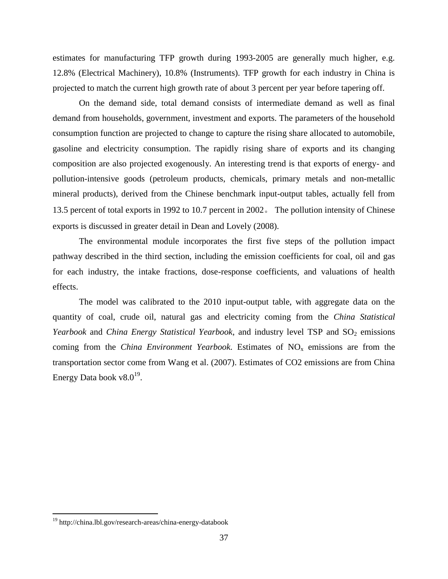estimates for manufacturing TFP growth during 1993-2005 are generally much higher, e.g. 12.8% (Electrical Machinery), 10.8% (Instruments). TFP growth for each industry in China is projected to match the current high growth rate of about 3 percent per year before tapering off.

On the demand side, total demand consists of intermediate demand as well as final demand from households, government, investment and exports. The parameters of the household consumption function are projected to change to capture the rising share allocated to automobile, gasoline and electricity consumption. The rapidly rising share of exports and its changing composition are also projected exogenously. An interesting trend is that exports of energy- and pollution-intensive goods (petroleum products, chemicals, primary metals and non-metallic mineral products), derived from the Chinese benchmark input-output tables, actually fell from 13.5 percent of total exports in 1992 to 10.7 percent in 2002。 The pollution intensity of Chinese exports is discussed in greater detail in Dean and Lovely (2008).

The environmental module incorporates the first five steps of the pollution impact pathway described in the third section, including the emission coefficients for coal, oil and gas for each industry, the intake fractions, dose-response coefficients, and valuations of health effects.

The model was calibrated to the 2010 input-output table, with aggregate data on the quantity of coal, crude oil, natural gas and electricity coming from the *China Statistical Yearbook* and *China Energy Statistical Yearbook*, and industry level TSP and SO<sub>2</sub> emissions coming from the *China Environment Yearbook*. Estimates of  $NO<sub>x</sub>$  emissions are from the transportation sector come from Wang et al. (2007). Estimates of CO2 emissions are from China Energy Data book  $v8.0^{19}$ .

<sup>19</sup> http://china.lbl.gov/research-areas/china-energy-databook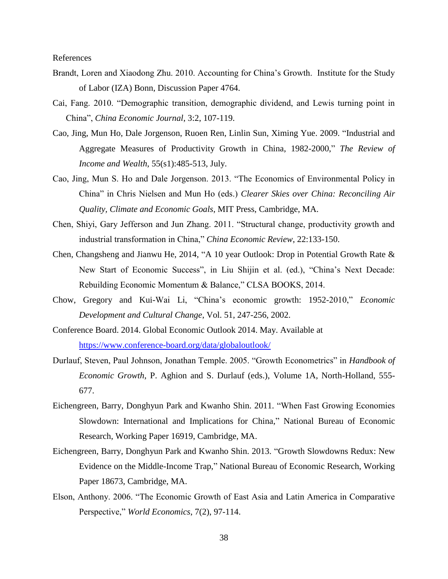References

- Brandt, Loren and Xiaodong Zhu. 2010. Accounting for China's Growth. Institute for the Study of Labor (IZA) Bonn, Discussion Paper 4764.
- Cai, Fang. 2010. "Demographic transition, demographic dividend, and Lewis turning point in China", *China Economic Journal*, 3:2, 107-119.
- Cao, Jing, Mun Ho, Dale Jorgenson, Ruoen Ren, Linlin Sun, Ximing Yue. 2009. "Industrial and Aggregate Measures of Productivity Growth in China, 1982-2000," *The Review of Income and Wealth*, 55(s1):485-513, July.
- Cao, Jing, Mun S. Ho and Dale Jorgenson. 2013. "The Economics of Environmental Policy in China" in Chris Nielsen and Mun Ho (eds.) *Clearer Skies over China: Reconciling Air Quality, Climate and Economic Goals*, MIT Press, Cambridge, MA.
- Chen, Shiyi, Gary Jefferson and Jun Zhang. 2011. "Structural change, productivity growth and industrial transformation in China," *China Economic Review*, 22:133-150.
- Chen, Changsheng and Jianwu He, 2014, "A 10 year Outlook: Drop in Potential Growth Rate & New Start of Economic Success", in Liu Shijin et al. (ed.), "China's Next Decade: Rebuilding Economic Momentum & Balance," CLSA BOOKS, 2014.
- Chow, Gregory and Kui-Wai Li, "China's economic growth: 1952-2010," *Economic Development and Cultural Change*, Vol. 51, 247-256, 2002.
- Conference Board. 2014. Global Economic Outlook 2014. May. Available at <https://www.conference-board.org/data/globaloutlook/>
- Durlauf, Steven, Paul Johnson, Jonathan Temple. 2005. "Growth Econometrics" in *Handbook of Economic Growth*, P. Aghion and S. Durlauf (eds.), Volume 1A, North-Holland, 555- 677.
- Eichengreen, Barry, Donghyun Park and Kwanho Shin. 2011. "When Fast Growing Economies Slowdown: International and Implications for China," National Bureau of Economic Research, Working Paper 16919, Cambridge, MA.
- Eichengreen, Barry, Donghyun Park and Kwanho Shin. 2013. "Growth Slowdowns Redux: New Evidence on the Middle-Income Trap," National Bureau of Economic Research, Working Paper 18673, Cambridge, MA.
- Elson, Anthony. 2006. "The Economic Growth of East Asia and Latin America in Comparative Perspective," *World Economics*, 7(2), 97-114.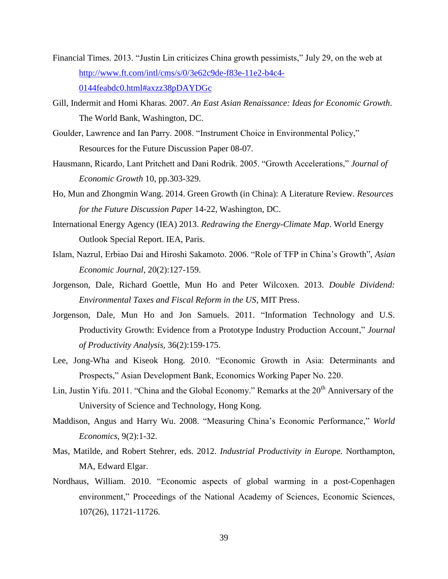- Financial Times. 2013. "Justin Lin criticizes China growth pessimists," July 29, on the web at [http://www.ft.com/intl/cms/s/0/3e62c9de-f83e-11e2-b4c4-](http://www.ft.com/intl/cms/s/0/3e62c9de-f83e-11e2-b4c4-0144feabdc0.html#axzz38pDAYDGc) [0144feabdc0.html#axzz38pDAYDGc](http://www.ft.com/intl/cms/s/0/3e62c9de-f83e-11e2-b4c4-0144feabdc0.html#axzz38pDAYDGc)
- Gill, Indermit and Homi Kharas. 2007. *An East Asian Renaissance: Ideas for Economic Growth*. The World Bank, Washington, DC.
- Goulder, Lawrence and Ian Parry. 2008. "Instrument Choice in Environmental Policy," Resources for the Future Discussion Paper 08-07.
- Hausmann, Ricardo, Lant Pritchett and Dani Rodrik. 2005. "Growth Accelerations," *Journal of Economic Growth* 10, pp.303-329.
- Ho, Mun and Zhongmin Wang. 2014. Green Growth (in China): A Literature Review. *Resources for the Future Discussion Paper* 14-22, Washington, DC.
- International Energy Agency (IEA) 2013. *Redrawing the Energy-Climate Map*. World Energy Outlook Special Report. IEA, Paris.
- Islam, Nazrul, Erbiao Dai and Hiroshi Sakamoto. 2006. "Role of TFP in China's Growth", *Asian Economic Journal*, 20(2):127-159.
- Jorgenson, Dale, Richard Goettle, Mun Ho and Peter Wilcoxen. 2013. *Double Dividend: Environmental Taxes and Fiscal Reform in the US*, MIT Press.
- Jorgenson, Dale, Mun Ho and Jon Samuels. 2011. "Information Technology and U.S. Productivity Growth: Evidence from a Prototype Industry Production Account," *Journal of Productivity Analysis,* 36(2):159-175.
- Lee, Jong-Wha and Kiseok Hong. 2010. "Economic Growth in Asia: Determinants and Prospects," Asian Development Bank, Economics Working Paper No. 220.
- Lin, Justin Yifu. 2011. "China and the Global Economy." Remarks at the  $20<sup>th</sup>$  Anniversary of the University of Science and Technology, Hong Kong.
- Maddison, Angus and Harry Wu. 2008. "Measuring China's Economic Performance," *World Economics*, 9(2):1-32.
- Mas, Matilde, and Robert Stehrer, eds. 2012. *Industrial Productivity in Europe.* Northampton, MA, Edward Elgar.
- Nordhaus, William. 2010. "Economic aspects of global warming in a post-Copenhagen environment," Proceedings of the National Academy of Sciences, Economic Sciences, 107(26), 11721-11726.